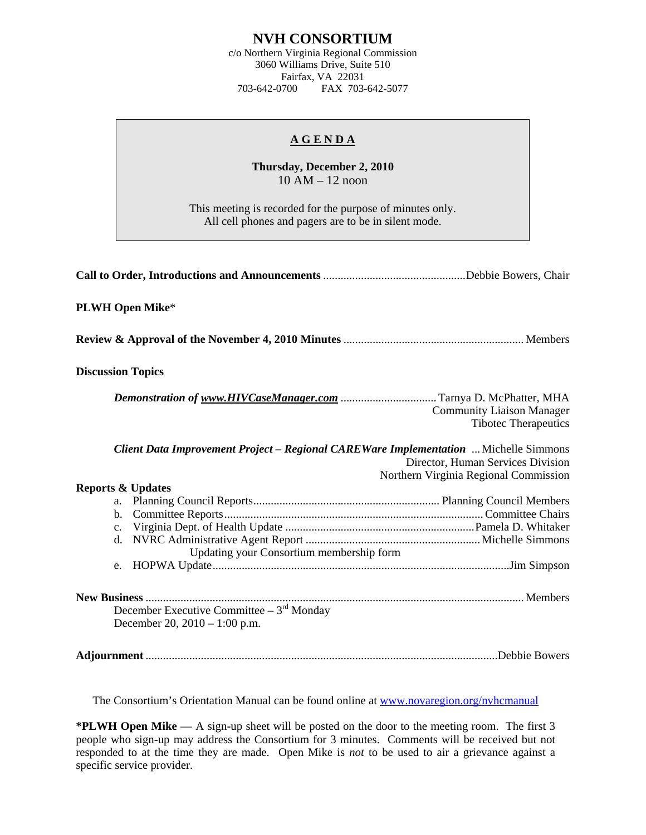## **NVH CONSORTIUM**

c/o Northern Virginia Regional Commission 3060 Williams Drive, Suite 510 Fairfax, VA 22031<br>703-642-0700 FAX 703-FAX 703-642-5077

## **A G E N D A**

**Thursday, December 2, 2010**  10 AM – 12 noon

This meeting is recorded for the purpose of minutes only. All cell phones and pagers are to be in silent mode.

| <b>PLWH Open Mike*</b>                                                                     |                                                                            |
|--------------------------------------------------------------------------------------------|----------------------------------------------------------------------------|
|                                                                                            |                                                                            |
| <b>Discussion Topics</b>                                                                   |                                                                            |
|                                                                                            | <b>Community Liaison Manager</b><br><b>Tibotec Therapeutics</b>            |
| <b>Client Data Improvement Project - Regional CAREWare Implementation</b> Michelle Simmons | Director, Human Services Division<br>Northern Virginia Regional Commission |
| <b>Reports &amp; Updates</b>                                                               |                                                                            |
|                                                                                            |                                                                            |
| b.                                                                                         |                                                                            |
| c.                                                                                         |                                                                            |
| d.                                                                                         |                                                                            |
| Updating your Consortium membership form                                                   |                                                                            |
| e.                                                                                         |                                                                            |
| December Executive Committee $-3^{rd}$ Monday<br>December 20, 2010 - 1:00 p.m.             |                                                                            |
|                                                                                            |                                                                            |

The Consortium's Orientation Manual can be found online at [www.novaregion.org/nvhcmanual](http://www.novaregion.org/nvhcmanual)

**\*PLWH Open Mike** — A sign-up sheet will be posted on the door to the meeting room. The first 3 people who sign-up may address the Consortium for 3 minutes. Comments will be received but not responded to at the time they are made. Open Mike is *not* to be used to air a grievance against a specific service provider.